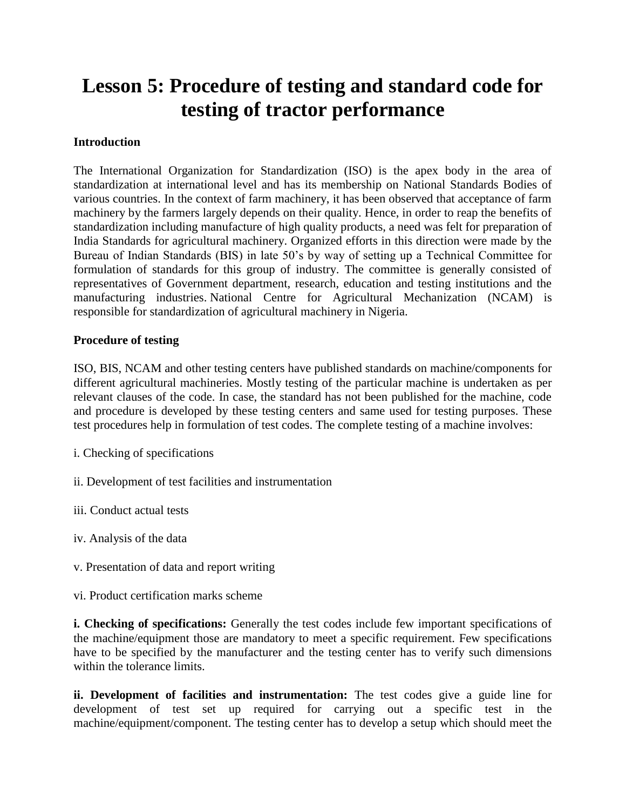# **Lesson 5: Procedure of testing and standard code for testing of tractor performance**

### **Introduction**

The International Organization for Standardization (ISO) is the apex body in the area of standardization at international level and has its membership on National Standards Bodies of various countries. In the context of farm machinery, it has been observed that acceptance of farm machinery by the farmers largely depends on their quality. Hence, in order to reap the benefits of standardization including manufacture of high quality products, a need was felt for preparation of India Standards for agricultural machinery. Organized efforts in this direction were made by the Bureau of Indian Standards (BIS) in late 50's by way of setting up a Technical Committee for formulation of standards for this group of industry. The committee is generally consisted of representatives of Government department, research, education and testing institutions and the manufacturing industries. National Centre for Agricultural Mechanization (NCAM) is responsible for standardization of agricultural machinery in Nigeria.

## **Procedure of testing**

ISO, BIS, NCAM and other testing centers have published standards on machine/components for different agricultural machineries. Mostly testing of the particular machine is undertaken as per relevant clauses of the code. In case, the standard has not been published for the machine, code and procedure is developed by these testing centers and same used for testing purposes. These test procedures help in formulation of test codes. The complete testing of a machine involves:

- i. Checking of specifications
- ii. Development of test facilities and instrumentation
- iii. Conduct actual tests
- iv. Analysis of the data
- v. Presentation of data and report writing
- vi. Product certification marks scheme

**i. Checking of specifications:** Generally the test codes include few important specifications of the machine/equipment those are mandatory to meet a specific requirement. Few specifications have to be specified by the manufacturer and the testing center has to verify such dimensions within the tolerance limits.

**ii. Development of facilities and instrumentation:** The test codes give a guide line for development of test set up required for carrying out a specific test in the machine/equipment/component. The testing center has to develop a setup which should meet the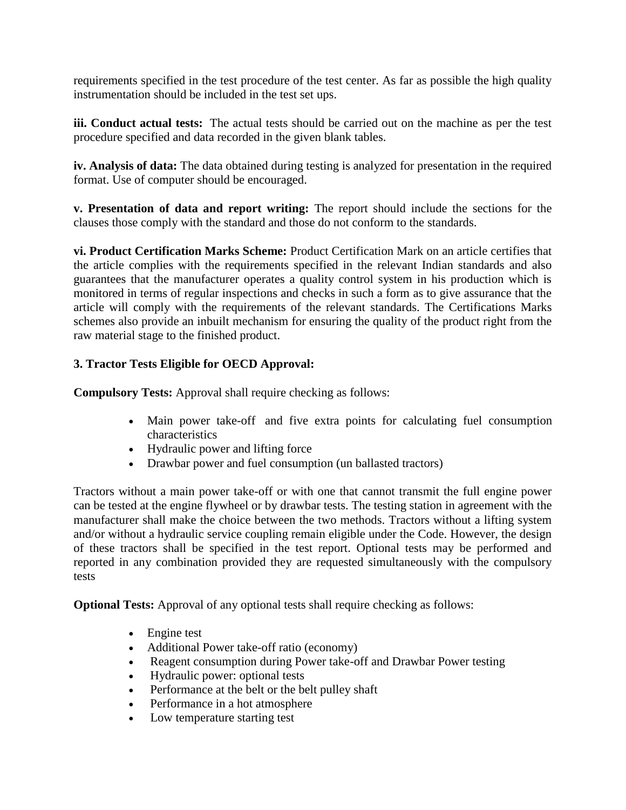requirements specified in the test procedure of the test center. As far as possible the high quality instrumentation should be included in the test set ups.

**iii. Conduct actual tests:** The actual tests should be carried out on the machine as per the test procedure specified and data recorded in the given blank tables.

**iv. Analysis of data:** The data obtained during testing is analyzed for presentation in the required format. Use of computer should be encouraged.

**v. Presentation of data and report writing:** The report should include the sections for the clauses those comply with the standard and those do not conform to the standards.

**vi. Product Certification Marks Scheme:** Product Certification Mark on an article certifies that the article complies with the requirements specified in the relevant Indian standards and also guarantees that the manufacturer operates a quality control system in his production which is monitored in terms of regular inspections and checks in such a form as to give assurance that the article will comply with the requirements of the relevant standards. The Certifications Marks schemes also provide an inbuilt mechanism for ensuring the quality of the product right from the raw material stage to the finished product.

# **3. Tractor Tests Eligible for OECD Approval:**

**Compulsory Tests:** Approval shall require checking as follows:

- Main power take-off and five extra points for calculating fuel consumption characteristics
- Hydraulic power and lifting force
- Drawbar power and fuel consumption (un ballasted tractors)

Tractors without a main power take-off or with one that cannot transmit the full engine power can be tested at the engine flywheel or by drawbar tests. The testing station in agreement with the manufacturer shall make the choice between the two methods. Tractors without a lifting system and/or without a hydraulic service coupling remain eligible under the Code. However, the design of these tractors shall be specified in the test report. Optional tests may be performed and reported in any combination provided they are requested simultaneously with the compulsory tests

**Optional Tests:** Approval of any optional tests shall require checking as follows:

- Engine test
- Additional Power take-off ratio (economy)
- Reagent consumption during Power take-off and Drawbar Power testing
- Hydraulic power: optional tests
- Performance at the belt or the belt pulley shaft
- Performance in a hot atmosphere
- Low temperature starting test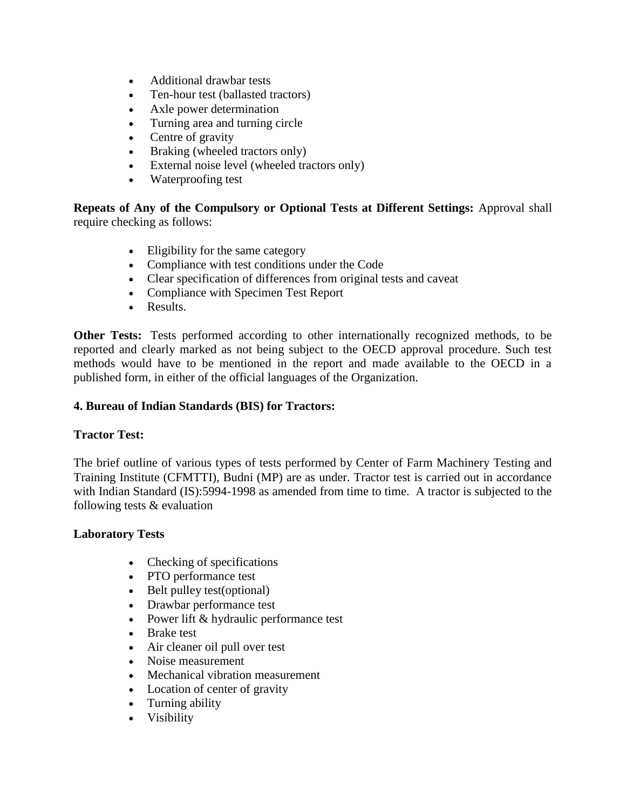- Additional drawbar tests
- Ten-hour test (ballasted tractors)
- Axle power determination
- Turning area and turning circle
- Centre of gravity
- Braking (wheeled tractors only)
- External noise level (wheeled tractors only)
- Waterproofing test

**Repeats of Any of the Compulsory or Optional Tests at Different Settings:** Approval shall require checking as follows:

- Eligibility for the same category
- Compliance with test conditions under the Code
- Clear specification of differences from original tests and caveat
- Compliance with Specimen Test Report
- Results.

**Other Tests:** Tests performed according to other internationally recognized methods, to be reported and clearly marked as not being subject to the OECD approval procedure. Such test methods would have to be mentioned in the report and made available to the OECD in a published form, in either of the official languages of the Organization.

# **4. Bureau of Indian Standards (BIS) for Tractors:**

# **Tractor Test:**

The brief outline of various types of tests performed by Center of Farm Machinery Testing and Training Institute (CFMTTI), Budni (MP) are as under. Tractor test is carried out in accordance with Indian Standard (IS):5994-1998 as amended from time to time. A tractor is subjected to the following tests & evaluation

#### **Laboratory Tests**

- Checking of specifications
- PTO performance test
- Belt pulley test(optional)
- Drawbar performance test
- Power lift & hydraulic performance test
- Brake test
- Air cleaner oil pull over test
- Noise measurement
- Mechanical vibration measurement
- Location of center of gravity
- Turning ability
- Visibility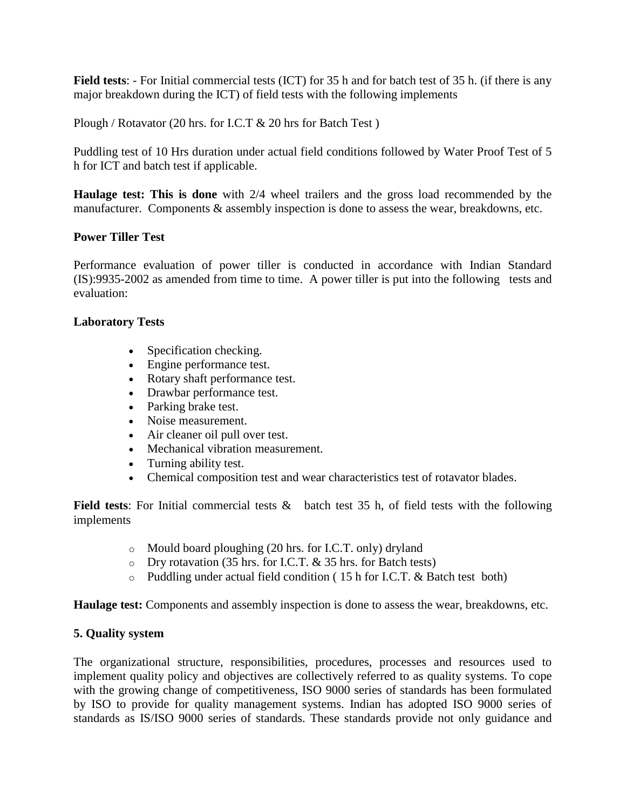**Field tests**: - For Initial commercial tests (ICT) for 35 h and for batch test of 35 h. (if there is any major breakdown during the ICT) of field tests with the following implements

Plough / Rotavator (20 hrs. for I.C.T & 20 hrs for Batch Test )

Puddling test of 10 Hrs duration under actual field conditions followed by Water Proof Test of 5 h for ICT and batch test if applicable.

**Haulage test: This is done** with 2/4 wheel trailers and the gross load recommended by the manufacturer. Components & assembly inspection is done to assess the wear, breakdowns, etc.

## **Power Tiller Test**

Performance evaluation of power tiller is conducted in accordance with Indian Standard (IS):9935-2002 as amended from time to time. A power tiller is put into the following tests and evaluation:

#### **Laboratory Tests**

- Specification checking.
- Engine performance test.
- Rotary shaft performance test.
- Drawbar performance test.
- Parking brake test.
- Noise measurement.
- Air cleaner oil pull over test.
- Mechanical vibration measurement.
- Turning ability test.
- Chemical composition test and wear characteristics test of rotavator blades.

**Field tests**: For Initial commercial tests & batch test 35 h, of field tests with the following implements

- o Mould board ploughing (20 hrs. for I.C.T. only) dryland
- o Dry rotavation (35 hrs. for I.C.T. & 35 hrs. for Batch tests)
- o Puddling under actual field condition ( 15 h for I.C.T. & Batch test both)

**Haulage test:** Components and assembly inspection is done to assess the wear, breakdowns, etc.

#### **5. Quality system**

The organizational structure, responsibilities, procedures, processes and resources used to implement quality policy and objectives are collectively referred to as quality systems. To cope with the growing change of competitiveness, ISO 9000 series of standards has been formulated by ISO to provide for quality management systems. Indian has adopted ISO 9000 series of standards as IS/ISO 9000 series of standards. These standards provide not only guidance and